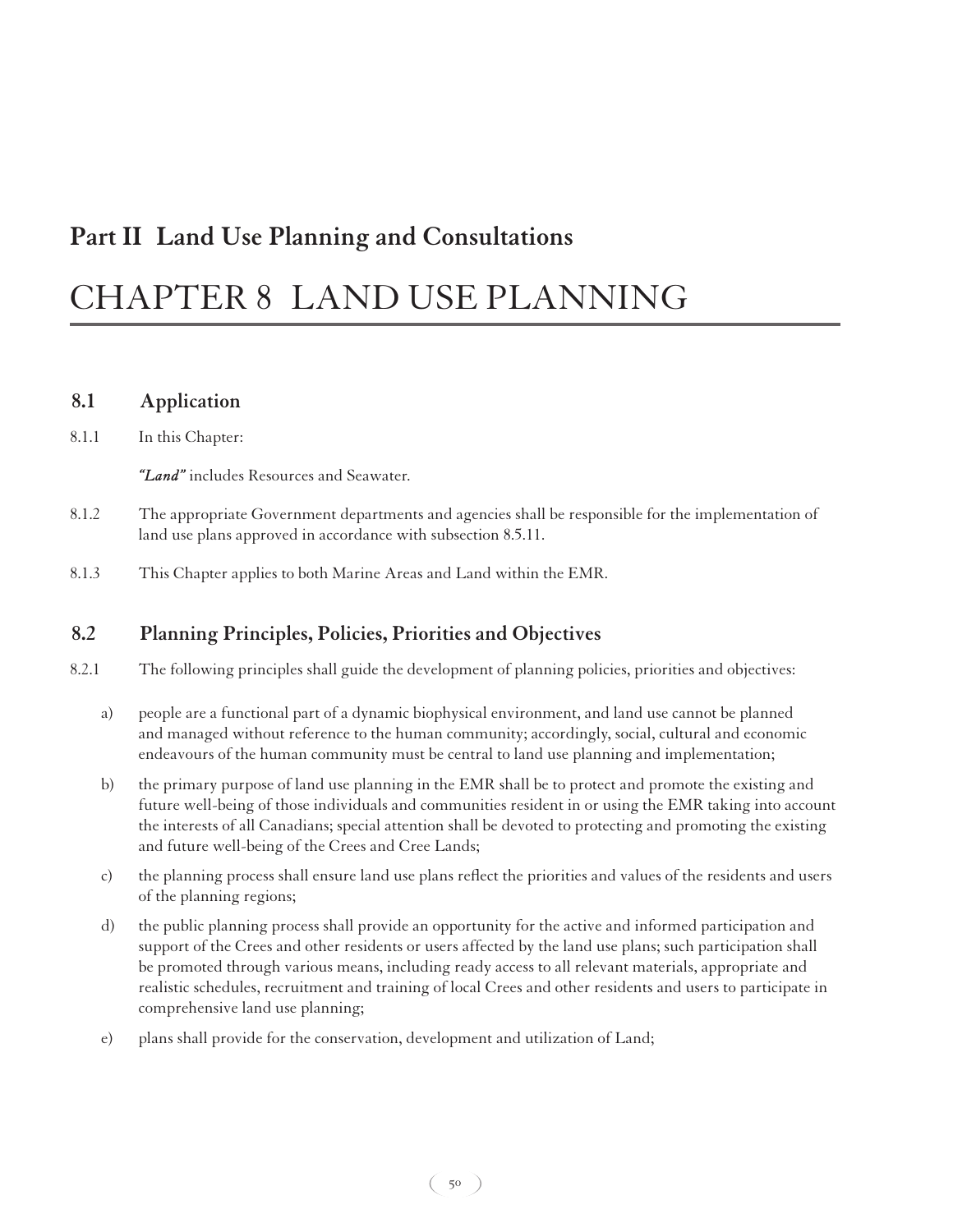# **Part II Land Use Planning and Consultations**

# CHAPTER 8 LAND USE PLANNING

#### **8.1 Application**

8.1.1 In this Chapter:

*"Land"* includes Resources and Seawater.

- 8.1.2 The appropriate Government departments and agencies shall be responsible for the implementation of land use plans approved in accordance with subsection 8.5.11.
- 8.1.3 This Chapter applies to both Marine Areas and Land within the EMR.

# **8.2 Planning Principles, Policies, Priorities and Objectives**

- 8.2.1 The following principles shall guide the development of planning policies, priorities and objectives:
	- a) people are a functional part of a dynamic biophysical environment, and land use cannot be planned and managed without reference to the human community; accordingly, social, cultural and economic endeavours of the human community must be central to land use planning and implementation;
	- b) the primary purpose of land use planning in the EMR shall be to protect and promote the existing and future well-being of those individuals and communities resident in or using the EMR taking into account the interests of all Canadians; special attention shall be devoted to protecting and promoting the existing and future well-being of the Crees and Cree Lands;
	- c) the planning process shall ensure land use plans reflect the priorities and values of the residents and users of the planning regions;
	- d) the public planning process shall provide an opportunity for the active and informed participation and support of the Crees and other residents or users affected by the land use plans; such participation shall be promoted through various means, including ready access to all relevant materials, appropriate and realistic schedules, recruitment and training of local Crees and other residents and users to participate in comprehensive land use planning;
	- e) plans shall provide for the conservation, development and utilization of Land;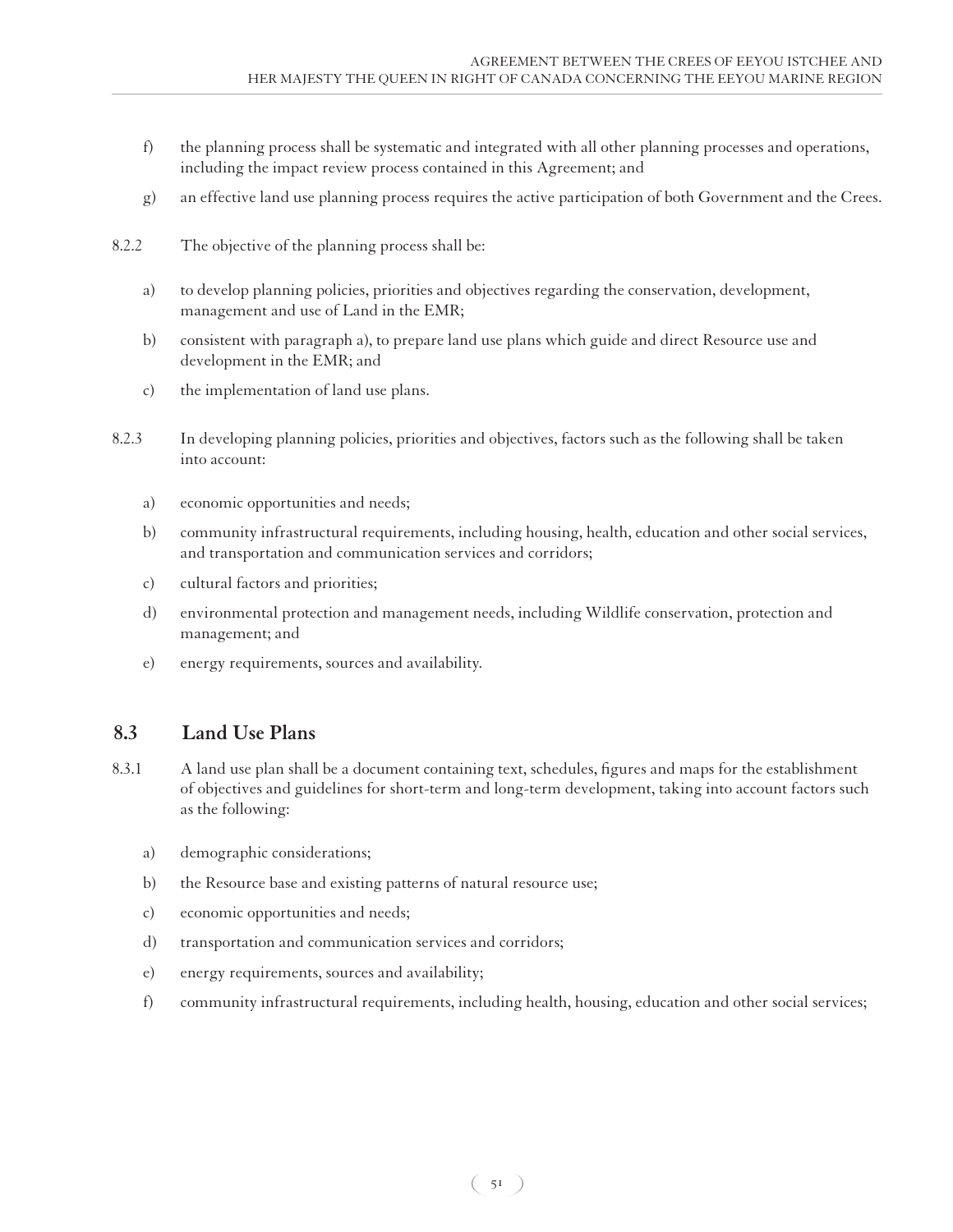- f) the planning process shall be systematic and integrated with all other planning processes and operations, including the impact review process contained in this Agreement; and
- g) an effective land use planning process requires the active participation of both Government and the Crees.
- 8.2.2 The objective of the planning process shall be:
	- a) to develop planning policies, priorities and objectives regarding the conservation, development, management and use of Land in the EMR;
	- b) consistent with paragraph a), to prepare land use plans which guide and direct Resource use and development in the EMR; and
	- c) the implementation of land use plans.
- 8.2.3 In developing planning policies, priorities and objectives, factors such as the following shall be taken into account:
	- a) economic opportunities and needs;
	- b) community infrastructural requirements, including housing, health, education and other social services, and transportation and communication services and corridors;
	- c) cultural factors and priorities;
	- d) environmental protection and management needs, including Wildlife conservation, protection and management; and
	- e) energy requirements, sources and availability.

# **8.3 Land Use Plans**

- 8.3.1 A land use plan shall be a document containing text, schedules, figures and maps for the establishment of objectives and guidelines for short-term and long-term development, taking into account factors such as the following:
	- a) demographic considerations;
	- b) the Resource base and existing patterns of natural resource use;
	- c) economic opportunities and needs;
	- d) transportation and communication services and corridors;
	- e) energy requirements, sources and availability;
	- f) community infrastructural requirements, including health, housing, education and other social services;